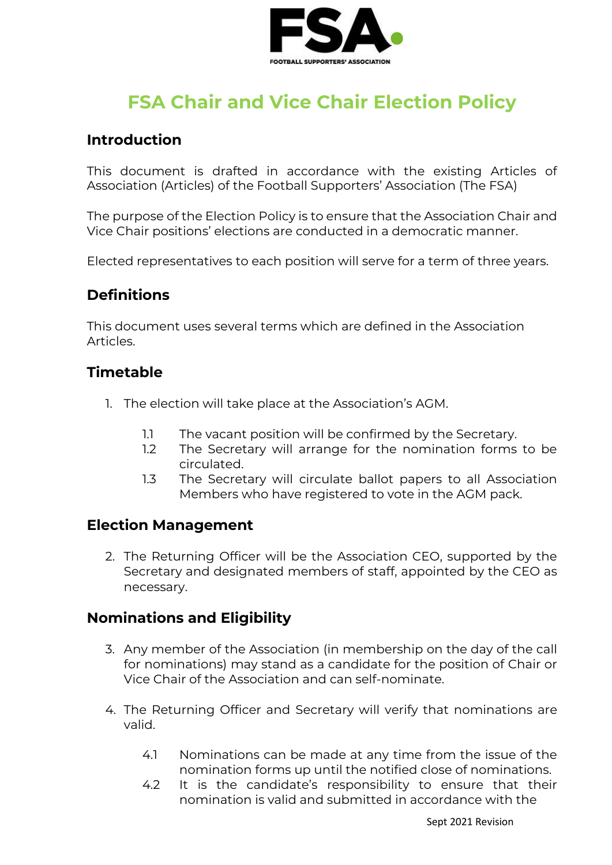

# **FSA Chair and Vice Chair Election Policy**

## **Introduction**

This document is drafted in accordance with the existing Articles of Association (Articles) of the Football Supporters' Association (The FSA)

The purpose of the Election Policy is to ensure that the Association Chair and Vice Chair positions' elections are conducted in a democratic manner.

Elected representatives to each position will serve for a term of three years.

## **Definitions**

This document uses several terms which are defined in the Association Articles.

#### **Timetable**

- 1. The election will take place at the Association's AGM.
	- 1.1 The vacant position will be confirmed by the Secretary.
	- 1.2 The Secretary will arrange for the nomination forms to be circulated.
	- 1.3 The Secretary will circulate ballot papers to all Association Members who have registered to vote in the AGM pack.

#### **Election Management**

2. The Returning Officer will be the Association CEO, supported by the Secretary and designated members of staff, appointed by the CEO as necessary.

### **Nominations and Eligibility**

- 3. Any member of the Association (in membership on the day of the call for nominations) may stand as a candidate for the position of Chair or Vice Chair of the Association and can self-nominate.
- 4. The Returning Officer and Secretary will verify that nominations are valid.
	- 4.1 Nominations can be made at any time from the issue of the nomination forms up until the notified close of nominations.
	- 4.2 It is the candidate's responsibility to ensure that their nomination is valid and submitted in accordance with the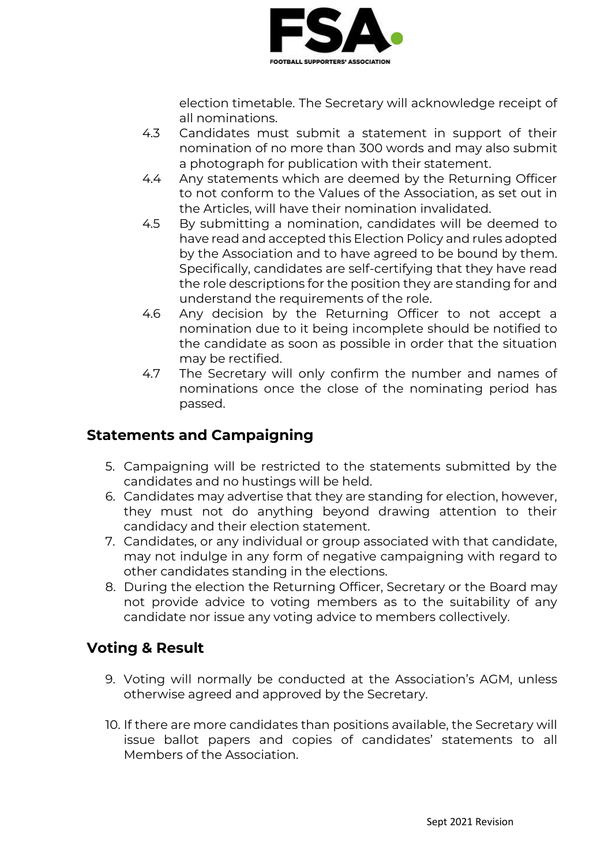

election timetable. The Secretary will acknowledge receipt of all nominations.

- 4.3 Candidates must submit a statement in support of their nomination of no more than 300 words and may also submit a photograph for publication with their statement.
- 4.4 Any statements which are deemed by the Returning Officer to not conform to the Values of the Association, as set out in the Articles, will have their nomination invalidated.
- 4.5 By submitting a nomination, candidates will be deemed to have read and accepted this Election Policy and rules adopted by the Association and to have agreed to be bound by them. Specifically, candidates are self-certifying that they have read the role descriptions for the position they are standing for and understand the requirements of the role.
- 4.6 Any decision by the Returning Officer to not accept a nomination due to it being incomplete should be notified to the candidate as soon as possible in order that the situation may be rectified.
- 4.7 The Secretary will only confirm the number and names of nominations once the close of the nominating period has passed.

## **Statements and Campaigning**

- 5. Campaigning will be restricted to the statements submitted by the candidates and no hustings will be held.
- 6. Candidates may advertise that they are standing for election, however, they must not do anything beyond drawing attention to their candidacy and their election statement.
- 7. Candidates, or any individual or group associated with that candidate, may not indulge in any form of negative campaigning with regard to other candidates standing in the elections.
- 8. During the election the Returning Officer, Secretary or the Board may not provide advice to voting members as to the suitability of any candidate nor issue any voting advice to members collectively.

## **Voting & Result**

- 9. Voting will normally be conducted at the Association's AGM, unless otherwise agreed and approved by the Secretary.
- 10. If there are more candidates than positions available, the Secretary will issue ballot papers and copies of candidates' statements to all Members of the Association.